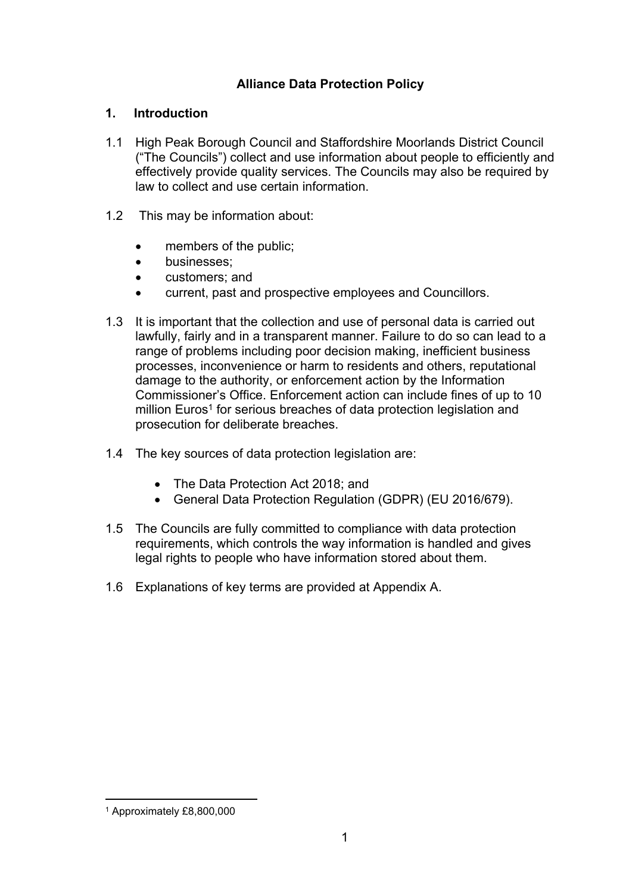## **Alliance Data Protection Policy**

#### **1. Introduction**

- 1.1 High Peak Borough Council and Staffordshire Moorlands District Council ("The Councils") collect and use information about people to efficiently and effectively provide quality services. The Councils may also be required by law to collect and use certain information.
- 1.2 This may be information about:
	- members of the public;
	- **•** businesses;
	- customers; and
	- current, past and prospective employees and Councillors.
- 1.3 It is important that the collection and use of personal data is carried out lawfully, fairly and in a transparent manner. Failure to do so can lead to a range of problems including poor decision making, inefficient business processes, inconvenience or harm to residents and others, reputational damage to the authority, or enforcement action by the Information Commissioner's Office. Enforcement action can include fines of up to 10 million Euros<sup>1</sup> for serious breaches of data protection legislation and prosecution for deliberate breaches.
- 1.4 The key sources of data protection legislation are:
	- The Data Protection Act 2018; and
	- General Data Protection Regulation (GDPR) (EU 2016/679).
- 1.5 The Councils are fully committed to compliance with data protection requirements, which controls the way information is handled and gives legal rights to people who have information stored about them.
- 1.6 Explanations of key terms are provided at Appendix A.

<sup>1</sup> Approximately £8,800,000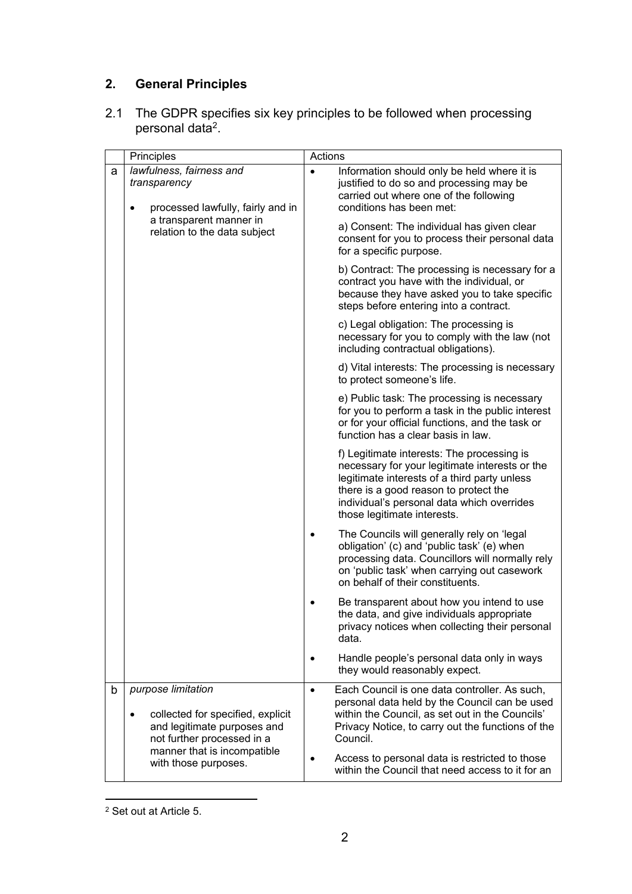# **2. General Principles**

2.1 The GDPR specifies six key principles to be followed when processing personal data<sup>2</sup>.

| Principles |                                                                                                                                                                  | Actions   |                                                                                                                                                                                                                                                                      |
|------------|------------------------------------------------------------------------------------------------------------------------------------------------------------------|-----------|----------------------------------------------------------------------------------------------------------------------------------------------------------------------------------------------------------------------------------------------------------------------|
| a          | lawfulness, fairness and<br>transparency<br>processed lawfully, fairly and in<br>$\bullet$<br>a transparent manner in<br>relation to the data subject            | $\bullet$ | Information should only be held where it is<br>justified to do so and processing may be<br>carried out where one of the following<br>conditions has been met:<br>a) Consent: The individual has given clear<br>consent for you to process their personal data        |
|            |                                                                                                                                                                  |           | for a specific purpose.                                                                                                                                                                                                                                              |
|            |                                                                                                                                                                  |           | b) Contract: The processing is necessary for a<br>contract you have with the individual, or<br>because they have asked you to take specific<br>steps before entering into a contract.                                                                                |
|            |                                                                                                                                                                  |           | c) Legal obligation: The processing is<br>necessary for you to comply with the law (not<br>including contractual obligations).                                                                                                                                       |
|            |                                                                                                                                                                  |           | d) Vital interests: The processing is necessary<br>to protect someone's life.                                                                                                                                                                                        |
|            |                                                                                                                                                                  |           | e) Public task: The processing is necessary<br>for you to perform a task in the public interest<br>or for your official functions, and the task or<br>function has a clear basis in law.                                                                             |
|            |                                                                                                                                                                  |           | f) Legitimate interests: The processing is<br>necessary for your legitimate interests or the<br>legitimate interests of a third party unless<br>there is a good reason to protect the<br>individual's personal data which overrides<br>those legitimate interests.   |
|            |                                                                                                                                                                  | ٠         | The Councils will generally rely on 'legal<br>obligation' (c) and 'public task' (e) when<br>processing data. Councillors will normally rely<br>on 'public task' when carrying out casework<br>on behalf of their constituents.                                       |
|            |                                                                                                                                                                  |           | Be transparent about how you intend to use<br>the data, and give individuals appropriate<br>privacy notices when collecting their personal<br>data.                                                                                                                  |
|            |                                                                                                                                                                  |           | Handle people's personal data only in ways<br>they would reasonably expect.                                                                                                                                                                                          |
| b          | purpose limitation<br>collected for specified, explicit<br>$\bullet$<br>and legitimate purposes and<br>not further processed in a<br>manner that is incompatible | $\bullet$ | Each Council is one data controller. As such,<br>personal data held by the Council can be used<br>within the Council, as set out in the Councils'<br>Privacy Notice, to carry out the functions of the<br>Council.<br>Access to personal data is restricted to those |
|            | with those purposes.                                                                                                                                             |           | within the Council that need access to it for an                                                                                                                                                                                                                     |

<sup>2</sup> Set out at Article 5.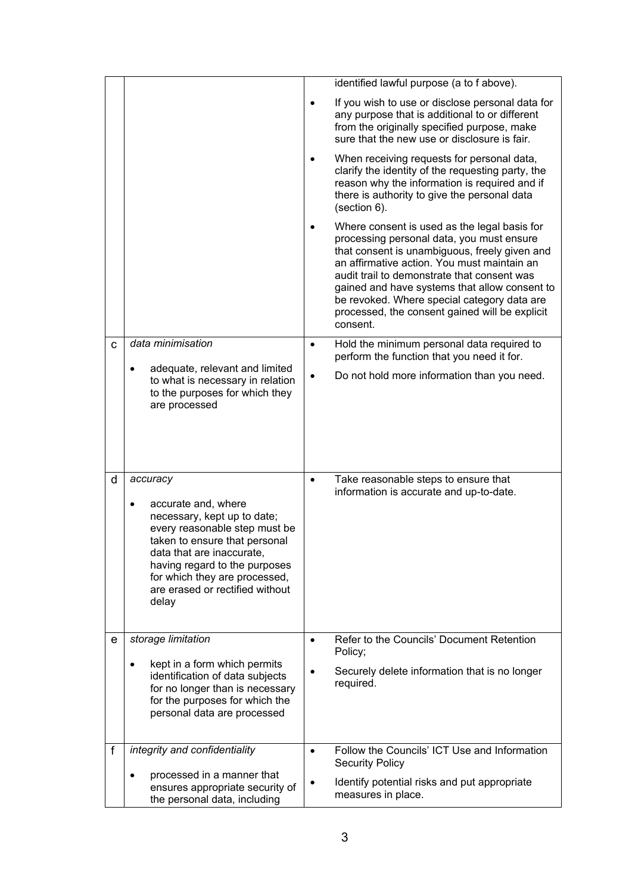|   |                                                                                                                                                                                                                                                                                          |           | identified lawful purpose (a to f above).                                                                                                                                                                                                                                                                                                                                                              |
|---|------------------------------------------------------------------------------------------------------------------------------------------------------------------------------------------------------------------------------------------------------------------------------------------|-----------|--------------------------------------------------------------------------------------------------------------------------------------------------------------------------------------------------------------------------------------------------------------------------------------------------------------------------------------------------------------------------------------------------------|
|   |                                                                                                                                                                                                                                                                                          | $\bullet$ | If you wish to use or disclose personal data for<br>any purpose that is additional to or different<br>from the originally specified purpose, make<br>sure that the new use or disclosure is fair.                                                                                                                                                                                                      |
|   |                                                                                                                                                                                                                                                                                          |           | When receiving requests for personal data,<br>clarify the identity of the requesting party, the<br>reason why the information is required and if<br>there is authority to give the personal data<br>(section 6).                                                                                                                                                                                       |
|   |                                                                                                                                                                                                                                                                                          |           | Where consent is used as the legal basis for<br>processing personal data, you must ensure<br>that consent is unambiguous, freely given and<br>an affirmative action. You must maintain an<br>audit trail to demonstrate that consent was<br>gained and have systems that allow consent to<br>be revoked. Where special category data are<br>processed, the consent gained will be explicit<br>consent. |
| C | data minimisation                                                                                                                                                                                                                                                                        | $\bullet$ | Hold the minimum personal data required to<br>perform the function that you need it for.                                                                                                                                                                                                                                                                                                               |
|   | adequate, relevant and limited<br>٠<br>to what is necessary in relation<br>to the purposes for which they<br>are processed                                                                                                                                                               |           | Do not hold more information than you need.                                                                                                                                                                                                                                                                                                                                                            |
| d | accuracy<br>accurate and, where<br>$\bullet$<br>necessary, kept up to date;<br>every reasonable step must be<br>taken to ensure that personal<br>data that are inaccurate.<br>having regard to the purposes<br>for which they are processed,<br>are erased or rectified without<br>delay | $\bullet$ | Take reasonable steps to ensure that<br>information is accurate and up-to-date.                                                                                                                                                                                                                                                                                                                        |
| е | storage limitation                                                                                                                                                                                                                                                                       | $\bullet$ | Refer to the Councils' Document Retention<br>Policy;                                                                                                                                                                                                                                                                                                                                                   |
|   | kept in a form which permits<br>$\bullet$<br>identification of data subjects<br>for no longer than is necessary<br>for the purposes for which the<br>personal data are processed                                                                                                         |           | Securely delete information that is no longer<br>required.                                                                                                                                                                                                                                                                                                                                             |
| f | integrity and confidentiality                                                                                                                                                                                                                                                            | $\bullet$ | Follow the Councils' ICT Use and Information<br><b>Security Policy</b>                                                                                                                                                                                                                                                                                                                                 |
|   | processed in a manner that<br>$\bullet$<br>ensures appropriate security of<br>the personal data, including                                                                                                                                                                               |           | Identify potential risks and put appropriate<br>measures in place.                                                                                                                                                                                                                                                                                                                                     |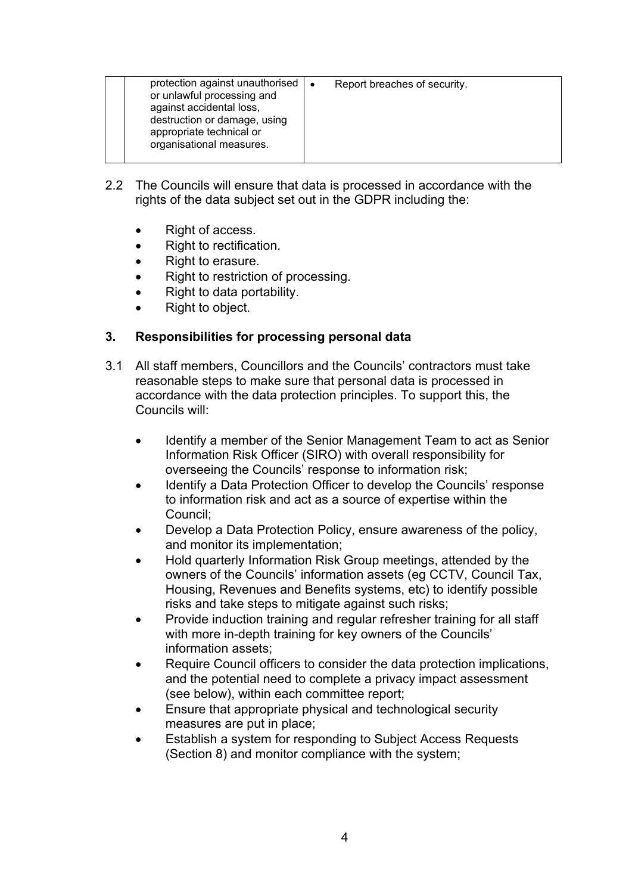| against accidental loss,<br>destruction or damage, using<br>appropriate technical or<br>organisational measures. | protection against unauthorised $\vert \bullet \vert$<br>or unlawful processing and | Report breaches of security. |
|------------------------------------------------------------------------------------------------------------------|-------------------------------------------------------------------------------------|------------------------------|
|------------------------------------------------------------------------------------------------------------------|-------------------------------------------------------------------------------------|------------------------------|

- 2.2 The Councils will ensure that data is processed in accordance with the rights of the data subject set out in the GDPR including the:
	- Right of access.
	- Right to rectification.
	- Right to erasure.
	- Right to restriction of processing.
	- Right to data portability.
	- Right to object.

## **3. Responsibilities for processing personal data**

- 3.1 All staff members, Councillors and the Councils' contractors must take reasonable steps to make sure that personal data is processed in accordance with the data protection principles. To support this, the Councils will:
	- Identify a member of the Senior Management Team to act as Senior Information Risk Officer (SIRO) with overall responsibility for overseeing the Councils' response to information risk;
	- Identify a Data Protection Officer to develop the Councils' response to information risk and act as a source of expertise within the Council;
	- Develop a Data Protection Policy, ensure awareness of the policy, and monitor its implementation;
	- Hold quarterly Information Risk Group meetings, attended by the owners of the Councils' information assets (eg CCTV, Council Tax, Housing, Revenues and Benefits systems, etc) to identify possible risks and take steps to mitigate against such risks;
	- Provide induction training and regular refresher training for all staff with more in-depth training for key owners of the Councils' information assets;
	- Require Council officers to consider the data protection implications, and the potential need to complete a privacy impact assessment (see below), within each committee report;
	- Ensure that appropriate physical and technological security measures are put in place;
	- Establish a system for responding to Subject Access Requests (Section 8) and monitor compliance with the system;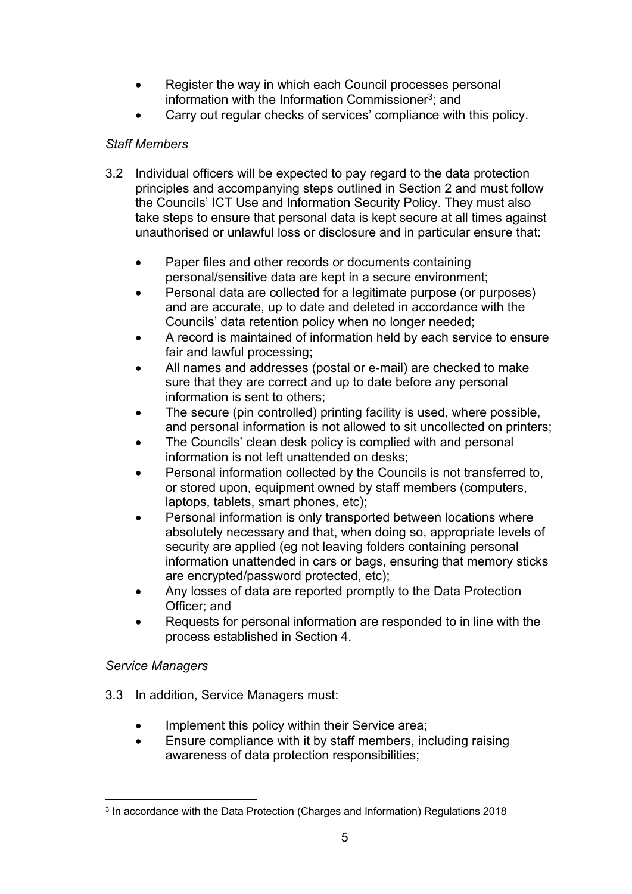- Register the way in which each Council processes personal information with the Information Commissioner<sup>3</sup>; and
- Carry out regular checks of services' compliance with this policy.

## *Staff Members*

- 3.2 Individual officers will be expected to pay regard to the data protection principles and accompanying steps outlined in Section 2 and must follow the Councils' ICT Use and Information Security Policy. They must also take steps to ensure that personal data is kept secure at all times against unauthorised or unlawful loss or disclosure and in particular ensure that:
	- Paper files and other records or documents containing personal/sensitive data are kept in a secure environment;
	- Personal data are collected for a legitimate purpose (or purposes) and are accurate, up to date and deleted in accordance with the Councils' data retention policy when no longer needed;
	- A record is maintained of information held by each service to ensure fair and lawful processing;
	- All names and addresses (postal or e-mail) are checked to make sure that they are correct and up to date before any personal information is sent to others;
	- The secure (pin controlled) printing facility is used, where possible, and personal information is not allowed to sit uncollected on printers;
	- The Councils' clean desk policy is complied with and personal information is not left unattended on desks;
	- Personal information collected by the Councils is not transferred to, or stored upon, equipment owned by staff members (computers, laptops, tablets, smart phones, etc);
	- Personal information is only transported between locations where absolutely necessary and that, when doing so, appropriate levels of security are applied (eg not leaving folders containing personal information unattended in cars or bags, ensuring that memory sticks are encrypted/password protected, etc);
	- Any losses of data are reported promptly to the Data Protection Officer; and
	- Requests for personal information are responded to in line with the process established in Section 4.

## *Service Managers*

- 3.3 In addition, Service Managers must:
	- Implement this policy within their Service area;
	- Ensure compliance with it by staff members, including raising awareness of data protection responsibilities;

<sup>3</sup> In accordance with the Data Protection (Charges and Information) Regulations 2018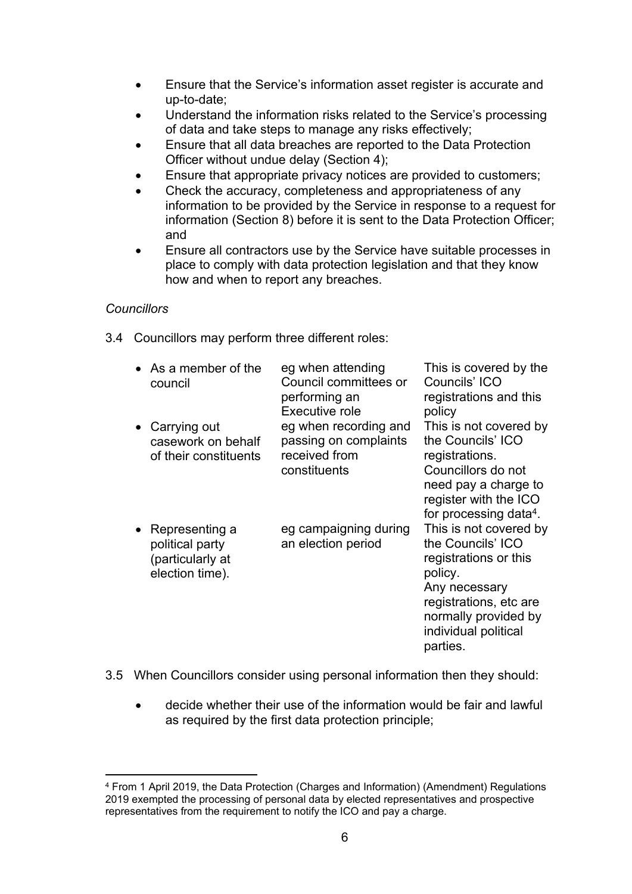- Ensure that the Service's information asset register is accurate and up-to-date;
- Understand the information risks related to the Service's processing of data and take steps to manage any risks effectively;
- Ensure that all data breaches are reported to the Data Protection Officer without undue delay (Section 4);
- Ensure that appropriate privacy notices are provided to customers;
- Check the accuracy, completeness and appropriateness of any information to be provided by the Service in response to a request for information (Section 8) before it is sent to the Data Protection Officer; and
- Ensure all contractors use by the Service have suitable processes in place to comply with data protection legislation and that they know how and when to report any breaches.

#### *Councillors*

3.4 Councillors may perform three different roles:

| $\bullet$ As a member of the<br>council                                               | eg when attending<br>Council committees or<br>performing an<br>Executive role   | This is covered by the<br>Councils' ICO<br>registrations and this<br>policy                                                                                                            |
|---------------------------------------------------------------------------------------|---------------------------------------------------------------------------------|----------------------------------------------------------------------------------------------------------------------------------------------------------------------------------------|
| Carrying out<br>$\bullet$<br>casework on behalf<br>of their constituents              | eg when recording and<br>passing on complaints<br>received from<br>constituents | This is not covered by<br>the Councils' ICO<br>registrations.<br>Councillors do not<br>need pay a charge to<br>register with the ICO<br>for processing data <sup>4</sup> .             |
| Representing a<br>$\bullet$<br>political party<br>(particularly at<br>election time). | eg campaigning during<br>an election period                                     | This is not covered by<br>the Councils' ICO<br>registrations or this<br>policy.<br>Any necessary<br>registrations, etc are<br>normally provided by<br>individual political<br>parties. |

- 3.5 When Councillors consider using personal information then they should:
	- decide whether their use of the information would be fair and lawful as required by the first data protection principle;

<sup>4</sup> From 1 April 2019, the Data Protection (Charges and Information) (Amendment) Regulations 2019 exempted the processing of personal data by elected representatives and prospective representatives from the requirement to notify the ICO and pay a charge.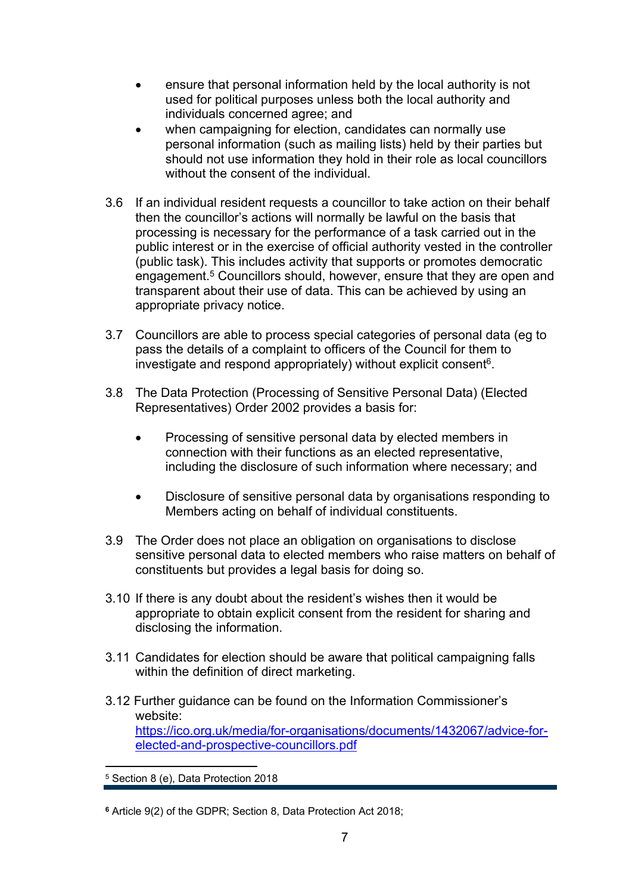- ensure that personal information held by the local authority is not used for political purposes unless both the local authority and individuals concerned agree; and
- when campaigning for election, candidates can normally use personal information (such as mailing lists) held by their parties but should not use information they hold in their role as local councillors without the consent of the individual.
- 3.6 If an individual resident requests a councillor to take action on their behalf then the councillor's actions will normally be lawful on the basis that processing is necessary for the performance of a task carried out in the public interest or in the exercise of official authority vested in the controller (public task). This includes activity that supports or promotes democratic engagement.<sup>5</sup> Councillors should, however, ensure that they are open and transparent about their use of data. This can be achieved by using an appropriate privacy notice.
- 3.7 Councillors are able to process special categories of personal data (eg to pass the details of a complaint to officers of the Council for them to investigate and respond appropriately) without explicit consent<sup>6</sup>.
- 3.8 The Data Protection (Processing of Sensitive Personal Data) (Elected Representatives) Order 2002 provides a basis for:
	- Processing of sensitive personal data by elected members in connection with their functions as an elected representative, including the disclosure of such information where necessary; and
	- Disclosure of sensitive personal data by organisations responding to Members acting on behalf of individual constituents.
- 3.9 The Order does not place an obligation on organisations to disclose sensitive personal data to elected members who raise matters on behalf of constituents but provides a legal basis for doing so.
- 3.10 If there is any doubt about the resident's wishes then it would be appropriate to obtain explicit consent from the resident for sharing and disclosing the information.
- 3.11 Candidates for election should be aware that political campaigning falls within the definition of direct marketing.
- 3.12 Further guidance can be found on the Information Commissioner's website: [https://ico.org.uk/media/for-organisations/documents/1432067/advice-for](https://ico.org.uk/media/for-organisations/documents/1432067/advice-for-elected-and-prospective-councillors.pdf)[elected-and-prospective-councillors.pdf](https://ico.org.uk/media/for-organisations/documents/1432067/advice-for-elected-and-prospective-councillors.pdf)

<sup>5</sup> Section 8 (e), Data Protection 2018

**<sup>6</sup>** Article 9(2) of the GDPR; Section 8, Data Protection Act 2018;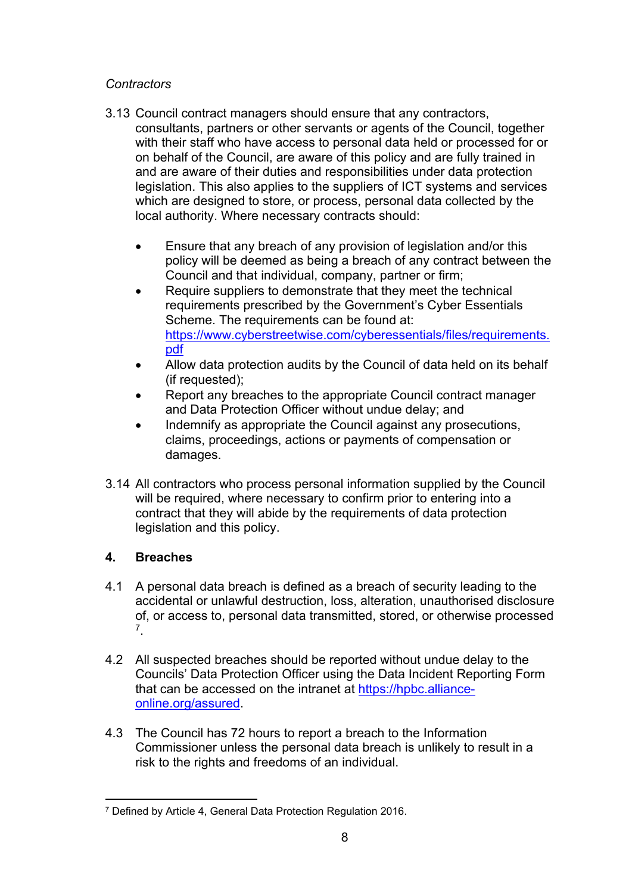## *Contractors*

- 3.13 Council contract managers should ensure that any contractors, consultants, partners or other servants or agents of the Council, together with their staff who have access to personal data held or processed for or on behalf of the Council, are aware of this policy and are fully trained in and are aware of their duties and responsibilities under data protection legislation. This also applies to the suppliers of ICT systems and services which are designed to store, or process, personal data collected by the local authority. Where necessary contracts should:
	- Ensure that any breach of any provision of legislation and/or this policy will be deemed as being a breach of any contract between the Council and that individual, company, partner or firm;
	- Require suppliers to demonstrate that they meet the technical requirements prescribed by the Government's Cyber Essentials Scheme. The requirements can be found at: [https://www.cyberstreetwise.com/cyberessentials/files/requirements.](https://www.cyberstreetwise.com/cyberessentials/files/requirements.pdf) [pdf](https://www.cyberstreetwise.com/cyberessentials/files/requirements.pdf)
	- Allow data protection audits by the Council of data held on its behalf (if requested);
	- Report any breaches to the appropriate Council contract manager and Data Protection Officer without undue delay; and
	- Indemnify as appropriate the Council against any prosecutions, claims, proceedings, actions or payments of compensation or damages.
- 3.14 All contractors who process personal information supplied by the Council will be required, where necessary to confirm prior to entering into a contract that they will abide by the requirements of data protection legislation and this policy.

## **4. Breaches**

- 4.1 A personal data breach is defined as a breach of security leading to the accidental or unlawful destruction, loss, alteration, unauthorised disclosure of, or access to, personal data transmitted, stored, or otherwise processed 7 .
- 4.2 All suspected breaches should be reported without undue delay to the Councils' Data Protection Officer using the Data Incident Reporting Form that can be accessed on the intranet at [https://hpbc.alliance](https://hpbc.alliance-online.org/assured)[online.org/assured](https://hpbc.alliance-online.org/assured).
- 4.3 The Council has 72 hours to report a breach to the Information Commissioner unless the personal data breach is unlikely to result in a risk to the rights and freedoms of an individual.

<sup>7</sup> Defined by Article 4, General Data Protection Regulation 2016.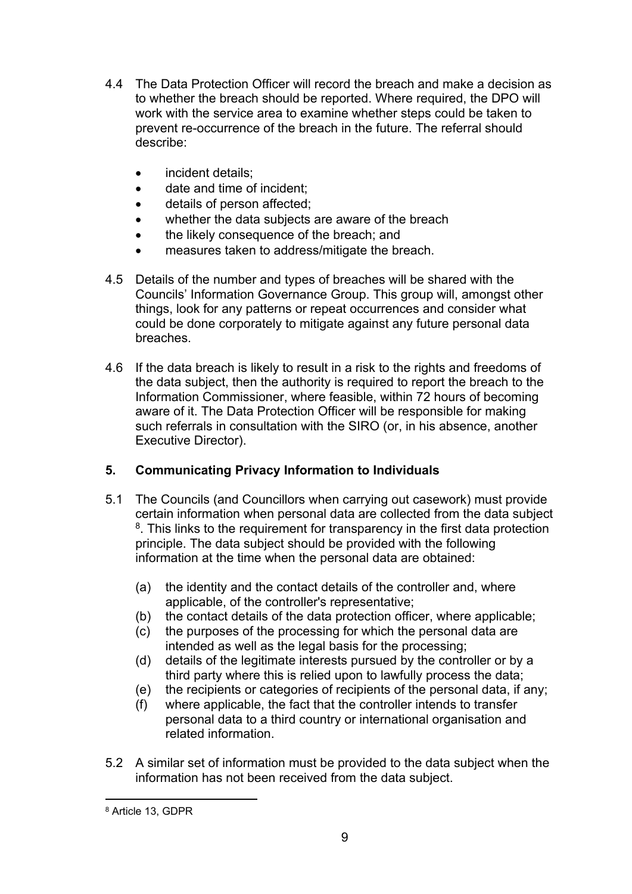- 4.4 The Data Protection Officer will record the breach and make a decision as to whether the breach should be reported. Where required, the DPO will work with the service area to examine whether steps could be taken to prevent re-occurrence of the breach in the future. The referral should describe:
	- incident details:
	- date and time of incident;
	- details of person affected;
	- whether the data subjects are aware of the breach
	- the likely consequence of the breach: and
	- measures taken to address/mitigate the breach.
- 4.5 Details of the number and types of breaches will be shared with the Councils' Information Governance Group. This group will, amongst other things, look for any patterns or repeat occurrences and consider what could be done corporately to mitigate against any future personal data breaches.
- 4.6 If the data breach is likely to result in a risk to the rights and freedoms of the data subject, then the authority is required to report the breach to the Information Commissioner, where feasible, within 72 hours of becoming aware of it. The Data Protection Officer will be responsible for making such referrals in consultation with the SIRO (or, in his absence, another Executive Director).

## **5. Communicating Privacy Information to Individuals**

- 5.1 The Councils (and Councillors when carrying out casework) must provide certain information when personal data are collected from the data subject <sup>8</sup>. This links to the requirement for transparency in the first data protection principle. The data subject should be provided with the following information at the time when the personal data are obtained:
	- (a) the identity and the contact details of the controller and, where applicable, of the controller's representative;
	- (b) the contact details of the data protection officer, where applicable;
	- (c) the purposes of the processing for which the personal data are intended as well as the legal basis for the processing;
	- (d) details of the legitimate interests pursued by the controller or by a third party where this is relied upon to lawfully process the data;
	- (e) the recipients or categories of recipients of the personal data, if any;
	- (f) where applicable, the fact that the controller intends to transfer personal data to a third country or international organisation and related information.
- 5.2 A similar set of information must be provided to the data subject when the information has not been received from the data subject.

<sup>8</sup> Article 13, GDPR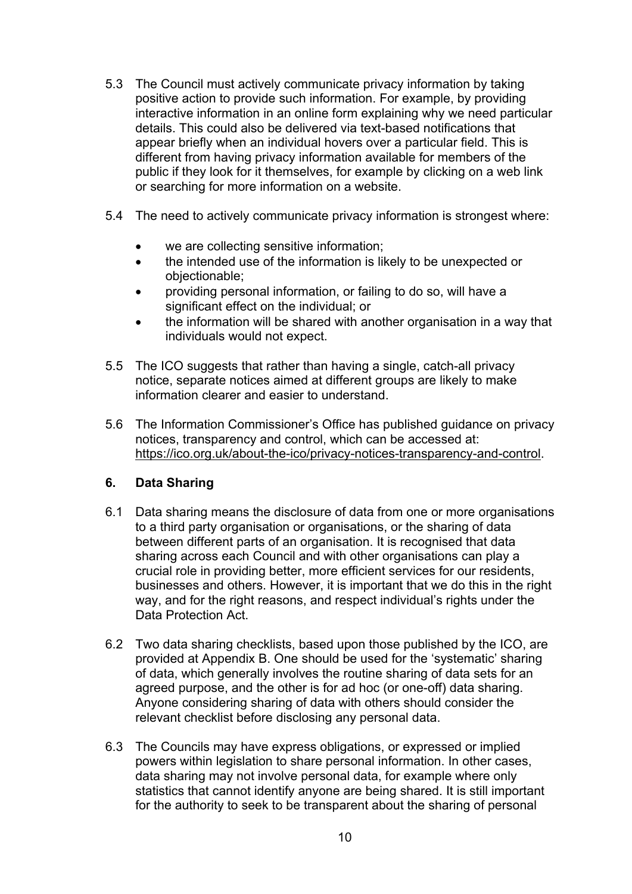- 5.3 The Council must actively communicate privacy information by taking positive action to provide such information. For example, by providing interactive information in an online form explaining why we need particular details. This could also be delivered via text-based notifications that appear briefly when an individual hovers over a particular field. This is different from having privacy information available for members of the public if they look for it themselves, for example by clicking on a web link or searching for more information on a website.
- 5.4 The need to actively communicate privacy information is strongest where:
	- we are collecting sensitive information;
	- the intended use of the information is likely to be unexpected or objectionable;
	- providing personal information, or failing to do so, will have a significant effect on the individual; or
	- the information will be shared with another organisation in a way that individuals would not expect.
- 5.5 The ICO suggests that rather than having a single, catch-all privacy notice, separate notices aimed at different groups are likely to make information clearer and easier to understand.
- 5.6 The Information Commissioner's Office has published guidance on privacy notices, transparency and control, which can be accessed at: [https://ico.org.uk/about-the-ico/privacy-notices-transparency-and-control.](https://ico.org.uk/about-the-ico/privacy-notices-transparency-and-control)

## **6. Data Sharing**

- 6.1 Data sharing means the disclosure of data from one or more organisations to a third party organisation or organisations, or the sharing of data between different parts of an organisation. It is recognised that data sharing across each Council and with other organisations can play a crucial role in providing better, more efficient services for our residents, businesses and others. However, it is important that we do this in the right way, and for the right reasons, and respect individual's rights under the Data Protection Act.
- 6.2 Two data sharing checklists, based upon those published by the ICO, are provided at Appendix B. One should be used for the 'systematic' sharing of data, which generally involves the routine sharing of data sets for an agreed purpose, and the other is for ad hoc (or one-off) data sharing. Anyone considering sharing of data with others should consider the relevant checklist before disclosing any personal data.
- 6.3 The Councils may have express obligations, or expressed or implied powers within legislation to share personal information. In other cases, data sharing may not involve personal data, for example where only statistics that cannot identify anyone are being shared. It is still important for the authority to seek to be transparent about the sharing of personal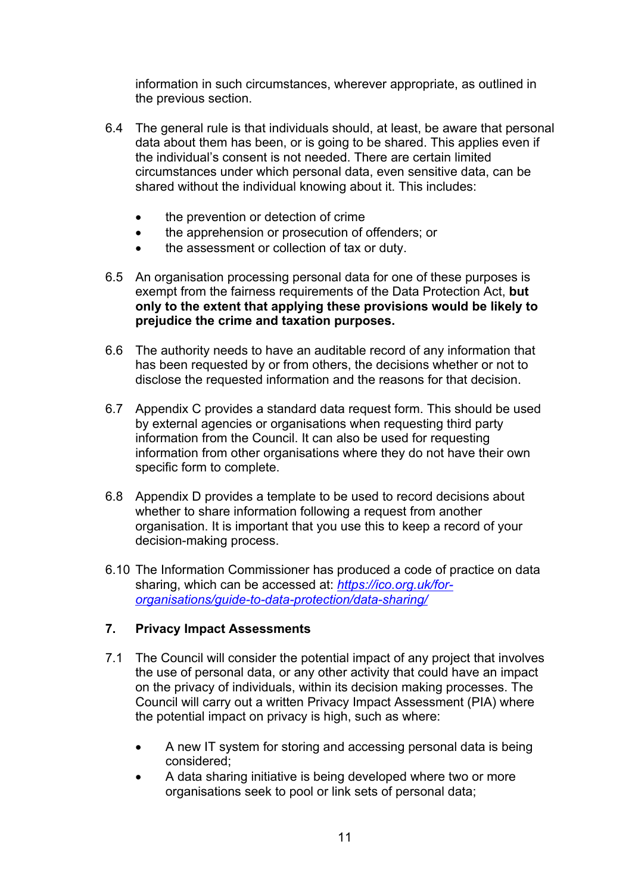information in such circumstances, wherever appropriate, as outlined in the previous section.

- 6.4 The general rule is that individuals should, at least, be aware that personal data about them has been, or is going to be shared. This applies even if the individual's consent is not needed. There are certain limited circumstances under which personal data, even sensitive data, can be shared without the individual knowing about it. This includes:
	- the prevention or detection of crime
	- the apprehension or prosecution of offenders; or
	- the assessment or collection of tax or duty.
- 6.5 An organisation processing personal data for one of these purposes is exempt from the fairness requirements of the Data Protection Act, **but only to the extent that applying these provisions would be likely to prejudice the crime and taxation purposes.**
- 6.6 The authority needs to have an auditable record of any information that has been requested by or from others, the decisions whether or not to disclose the requested information and the reasons for that decision.
- 6.7 Appendix C provides a standard data request form. This should be used by external agencies or organisations when requesting third party information from the Council. It can also be used for requesting information from other organisations where they do not have their own specific form to complete.
- 6.8 Appendix D provides a template to be used to record decisions about whether to share information following a request from another organisation. It is important that you use this to keep a record of your decision-making process.
- 6.10 The Information Commissioner has produced a code of practice on data sharing, which can be accessed at: *[https://ico.org.uk/for](https://ico.org.uk/for-organisations/guide-to-data-protection/data-sharing/)[organisations/guide-to-data-protection/data-sharing/](https://ico.org.uk/for-organisations/guide-to-data-protection/data-sharing/)*

## **7. Privacy Impact Assessments**

- 7.1 The Council will consider the potential impact of any project that involves the use of personal data, or any other activity that could have an impact on the privacy of individuals, within its decision making processes. The Council will carry out a written Privacy Impact Assessment (PIA) where the potential impact on privacy is high, such as where:
	- A new IT system for storing and accessing personal data is being considered;
	- A data sharing initiative is being developed where two or more organisations seek to pool or link sets of personal data;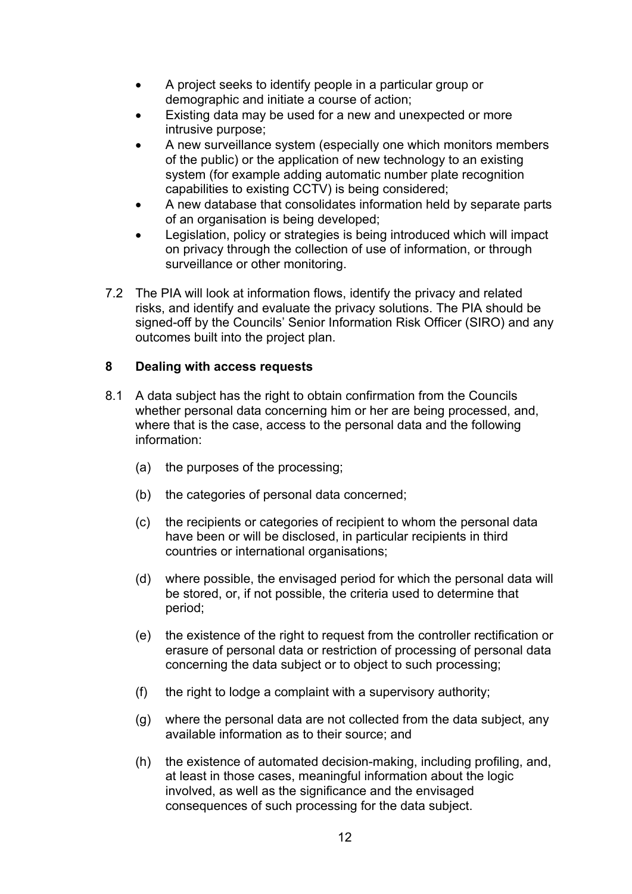- A project seeks to identify people in a particular group or demographic and initiate a course of action;
- Existing data may be used for a new and unexpected or more intrusive purpose;
- A new surveillance system (especially one which monitors members of the public) or the application of new technology to an existing system (for example adding automatic number plate recognition capabilities to existing CCTV) is being considered;
- A new database that consolidates information held by separate parts of an organisation is being developed;
- Legislation, policy or strategies is being introduced which will impact on privacy through the collection of use of information, or through surveillance or other monitoring.
- 7.2 The PIA will look at information flows, identify the privacy and related risks, and identify and evaluate the privacy solutions. The PIA should be signed-off by the Councils' Senior Information Risk Officer (SIRO) and any outcomes built into the project plan.

## **8 Dealing with access requests**

- 8.1 A data subject has the right to obtain confirmation from the Councils whether personal data concerning him or her are being processed, and, where that is the case, access to the personal data and the following information:
	- (a) the purposes of the processing;
	- (b) the categories of personal data concerned;
	- (c) the recipients or categories of recipient to whom the personal data have been or will be disclosed, in particular recipients in third countries or international organisations;
	- (d) where possible, the envisaged period for which the personal data will be stored, or, if not possible, the criteria used to determine that period;
	- (e) the existence of the right to request from the controller rectification or erasure of personal data or restriction of processing of personal data concerning the data subject or to object to such processing;
	- (f) the right to lodge a complaint with a supervisory authority;
	- (g) where the personal data are not collected from the data subject, any available information as to their source; and
	- (h) the existence of automated decision-making, including profiling, and, at least in those cases, meaningful information about the logic involved, as well as the significance and the envisaged consequences of such processing for the data subject.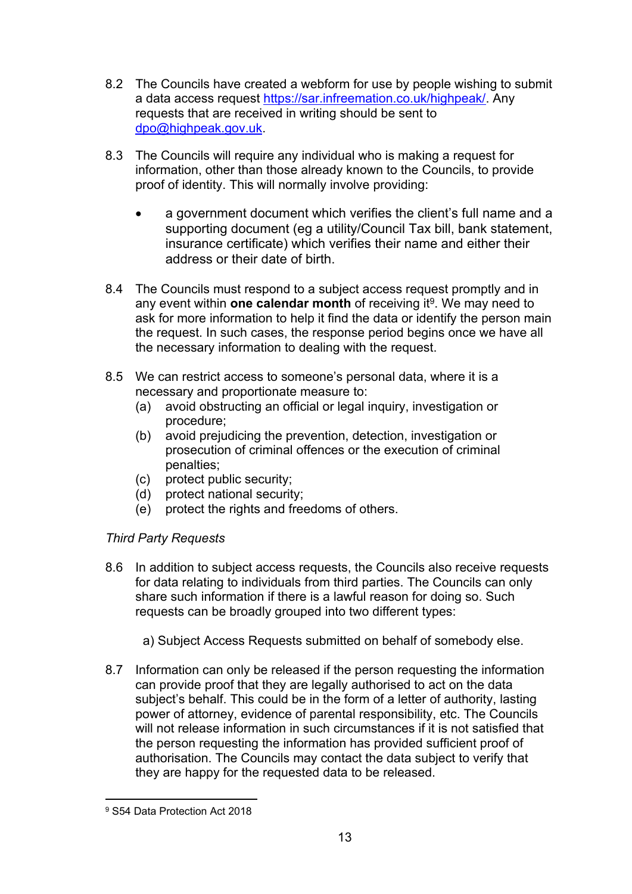- 8.2 The Councils have created a webform for use by people wishing to submit a data access request [https://sar.infreemation.co.uk/highpeak/.](https://sar.infreemation.co.uk/highpeak/) Any requests that are received in writing should be sent to [dpo@highpeak.gov.uk](mailto:dpo@highpeak.gov.uk).
- 8.3 The Councils will require any individual who is making a request for information, other than those already known to the Councils, to provide proof of identity. This will normally involve providing:
	- a government document which verifies the client's full name and a supporting document (eg a utility/Council Tax bill, bank statement, insurance certificate) which verifies their name and either their address or their date of birth.
- 8.4 The Councils must respond to a subject access request promptly and in any event within **one calendar month** of receiving it<sup>9</sup>. We may need to ask for more information to help it find the data or identify the person main the request. In such cases, the response period begins once we have all the necessary information to dealing with the request.
- 8.5 We can restrict access to someone's personal data, where it is a necessary and proportionate measure to:
	- (a) avoid obstructing an official or legal inquiry, investigation or procedure;
	- (b) avoid prejudicing the prevention, detection, investigation or prosecution of criminal offences or the execution of criminal penalties;
	- (c) protect public security;
	- (d) protect national security;
	- (e) protect the rights and freedoms of others.

## *Third Party Requests*

- 8.6 In addition to subject access requests, the Councils also receive requests for data relating to individuals from third parties. The Councils can only share such information if there is a lawful reason for doing so. Such requests can be broadly grouped into two different types:
	- a) Subject Access Requests submitted on behalf of somebody else.
- 8.7 Information can only be released if the person requesting the information can provide proof that they are legally authorised to act on the data subject's behalf. This could be in the form of a letter of authority, lasting power of attorney, evidence of parental responsibility, etc. The Councils will not release information in such circumstances if it is not satisfied that the person requesting the information has provided sufficient proof of authorisation. The Councils may contact the data subject to verify that they are happy for the requested data to be released.

<sup>9</sup> S54 Data Protection Act 2018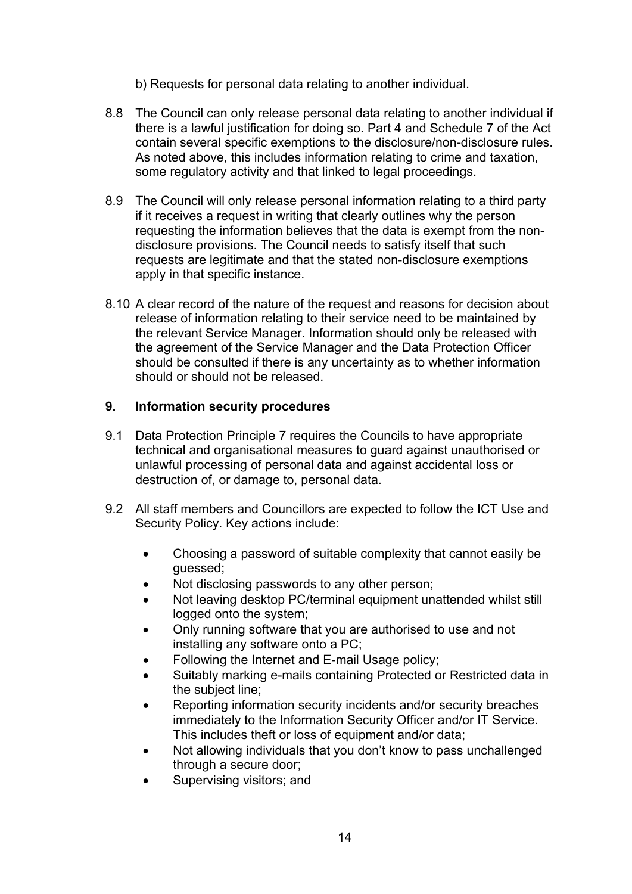b) Requests for personal data relating to another individual.

- 8.8 The Council can only release personal data relating to another individual if there is a lawful justification for doing so. Part 4 and Schedule 7 of the Act contain several specific exemptions to the disclosure/non-disclosure rules. As noted above, this includes information relating to crime and taxation, some regulatory activity and that linked to legal proceedings.
- 8.9 The Council will only release personal information relating to a third party if it receives a request in writing that clearly outlines why the person requesting the information believes that the data is exempt from the nondisclosure provisions. The Council needs to satisfy itself that such requests are legitimate and that the stated non-disclosure exemptions apply in that specific instance.
- 8.10 A clear record of the nature of the request and reasons for decision about release of information relating to their service need to be maintained by the relevant Service Manager. Information should only be released with the agreement of the Service Manager and the Data Protection Officer should be consulted if there is any uncertainty as to whether information should or should not be released.

#### **9. Information security procedures**

- 9.1 Data Protection Principle 7 requires the Councils to have appropriate technical and organisational measures to guard against unauthorised or unlawful processing of personal data and against accidental loss or destruction of, or damage to, personal data.
- 9.2 All staff members and Councillors are expected to follow the ICT Use and Security Policy. Key actions include:
	- Choosing a password of suitable complexity that cannot easily be guessed;
	- Not disclosing passwords to any other person;
	- Not leaving desktop PC/terminal equipment unattended whilst still logged onto the system;
	- Only running software that you are authorised to use and not installing any software onto a PC;
	- Following the Internet and E-mail Usage policy;
	- Suitably marking e-mails containing Protected or Restricted data in the subject line;
	- Reporting information security incidents and/or security breaches immediately to the Information Security Officer and/or IT Service. This includes theft or loss of equipment and/or data;
	- Not allowing individuals that you don't know to pass unchallenged through a secure door;
	- Supervising visitors; and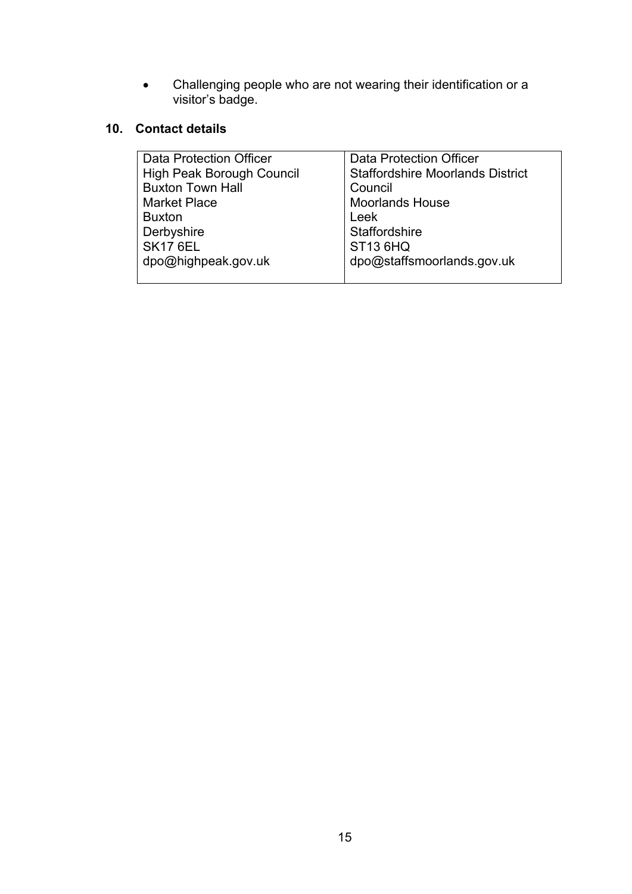Challenging people who are not wearing their identification or a visitor's badge.

## **10. Contact details**

| Data Protection Officer   | <b>Data Protection Officer</b>          |
|---------------------------|-----------------------------------------|
| High Peak Borough Council | <b>Staffordshire Moorlands District</b> |
| <b>Buxton Town Hall</b>   | Council                                 |
| <b>Market Place</b>       | <b>Moorlands House</b>                  |
| <b>Buxton</b>             | Leek                                    |
| Derbyshire                | Staffordshire                           |
| <b>SK17 6EL</b>           | <b>ST13 6HQ</b>                         |
| dpo@highpeak.gov.uk       | dpo@staffsmoorlands.gov.uk              |
|                           |                                         |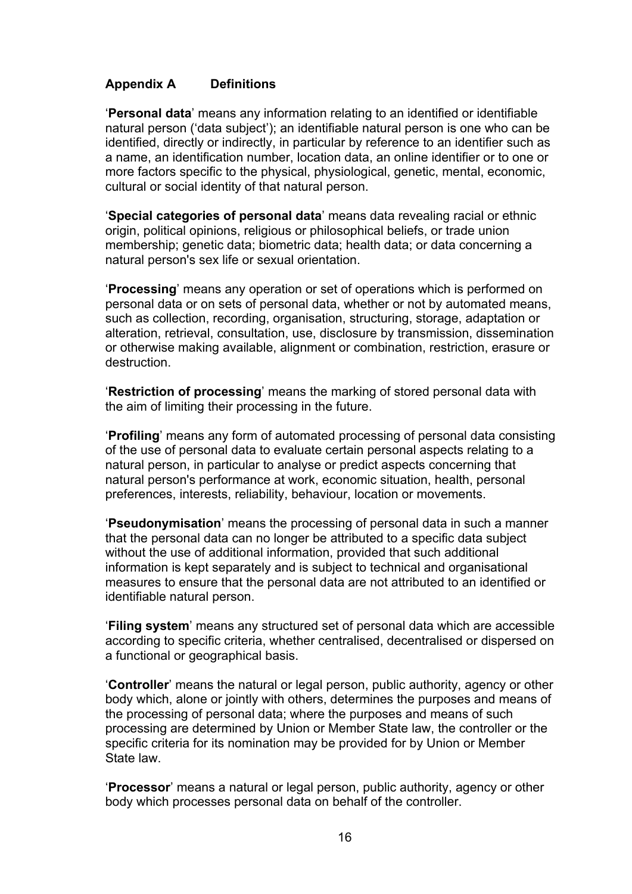#### **Appendix A Definitions**

'**Personal data**' means any information relating to an identified or identifiable natural person ('data subject'); an identifiable natural person is one who can be identified, directly or indirectly, in particular by reference to an identifier such as a name, an identification number, location data, an online identifier or to one or more factors specific to the physical, physiological, genetic, mental, economic, cultural or social identity of that natural person.

'**Special categories of personal data**' means data revealing racial or ethnic origin, political opinions, religious or philosophical beliefs, or trade union membership; genetic data; biometric data; health data; or data concerning a natural person's sex life or sexual orientation.

'**Processing**' means any operation or set of operations which is performed on personal data or on sets of personal data, whether or not by automated means, such as collection, recording, organisation, structuring, storage, adaptation or alteration, retrieval, consultation, use, disclosure by transmission, dissemination or otherwise making available, alignment or combination, restriction, erasure or destruction.

'**Restriction of processing**' means the marking of stored personal data with the aim of limiting their processing in the future.

'**Profiling**' means any form of automated processing of personal data consisting of the use of personal data to evaluate certain personal aspects relating to a natural person, in particular to analyse or predict aspects concerning that natural person's performance at work, economic situation, health, personal preferences, interests, reliability, behaviour, location or movements.

'**Pseudonymisation**' means the processing of personal data in such a manner that the personal data can no longer be attributed to a specific data subject without the use of additional information, provided that such additional information is kept separately and is subject to technical and organisational measures to ensure that the personal data are not attributed to an identified or identifiable natural person.

'**Filing system**' means any structured set of personal data which are accessible according to specific criteria, whether centralised, decentralised or dispersed on a functional or geographical basis.

'**Controller**' means the natural or legal person, public authority, agency or other body which, alone or jointly with others, determines the purposes and means of the processing of personal data; where the purposes and means of such processing are determined by Union or Member State law, the controller or the specific criteria for its nomination may be provided for by Union or Member State law.

'**Processor**' means a natural or legal person, public authority, agency or other body which processes personal data on behalf of the controller.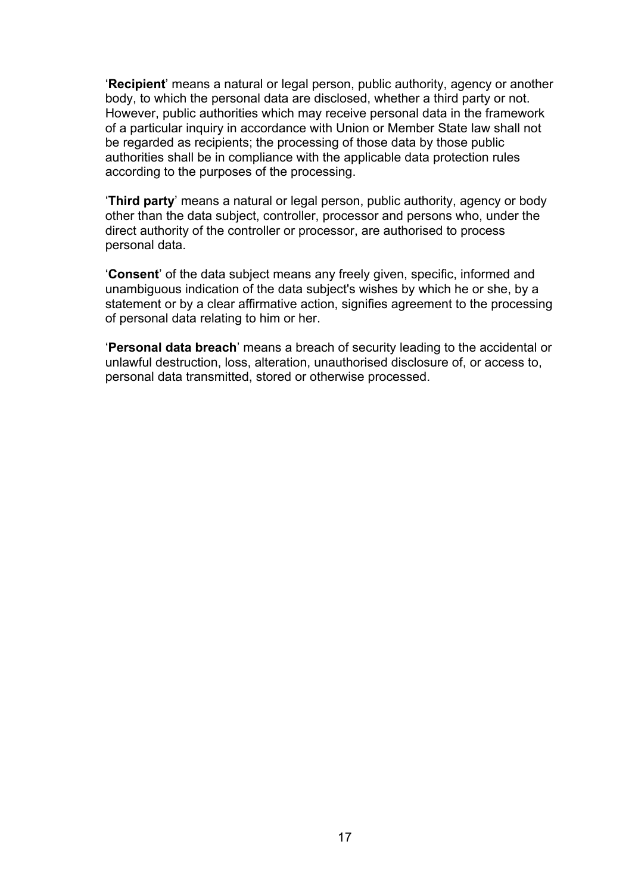'**Recipient**' means a natural or legal person, public authority, agency or another body, to which the personal data are disclosed, whether a third party or not. However, public authorities which may receive personal data in the framework of a particular inquiry in accordance with Union or Member State law shall not be regarded as recipients; the processing of those data by those public authorities shall be in compliance with the applicable data protection rules according to the purposes of the processing.

'**Third party**' means a natural or legal person, public authority, agency or body other than the data subject, controller, processor and persons who, under the direct authority of the controller or processor, are authorised to process personal data.

'**Consent**' of the data subject means any freely given, specific, informed and unambiguous indication of the data subject's wishes by which he or she, by a statement or by a clear affirmative action, signifies agreement to the processing of personal data relating to him or her.

'**Personal data breach**' means a breach of security leading to the accidental or unlawful destruction, loss, alteration, unauthorised disclosure of, or access to, personal data transmitted, stored or otherwise processed.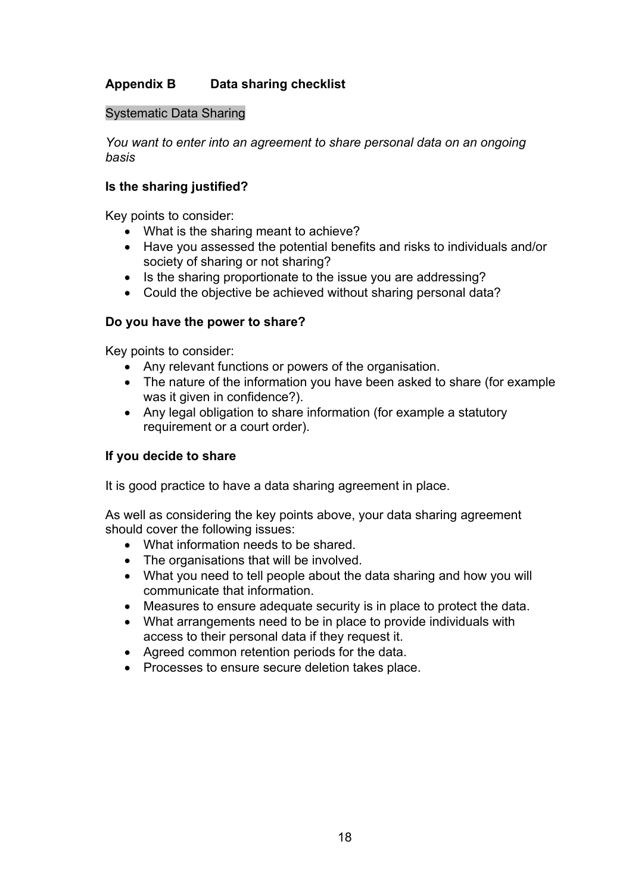## **Appendix B Data sharing checklist**

#### Systematic Data Sharing

*You want to enter into an agreement to share personal data on an ongoing basis*

#### **Is the sharing justified?**

Key points to consider:

- What is the sharing meant to achieve?
- Have you assessed the potential benefits and risks to individuals and/or society of sharing or not sharing?
- Is the sharing proportionate to the issue you are addressing?
- Could the objective be achieved without sharing personal data?

#### **Do you have the power to share?**

Key points to consider:

- Any relevant functions or powers of the organisation.
- The nature of the information you have been asked to share (for example was it given in confidence?).
- Any legal obligation to share information (for example a statutory requirement or a court order).

#### **If you decide to share**

It is good practice to have a data sharing agreement in place.

As well as considering the key points above, your data sharing agreement should cover the following issues:

- What information needs to be shared.
- The organisations that will be involved.
- What you need to tell people about the data sharing and how you will communicate that information.
- Measures to ensure adequate security is in place to protect the data.
- What arrangements need to be in place to provide individuals with access to their personal data if they request it.
- Agreed common retention periods for the data.
- Processes to ensure secure deletion takes place.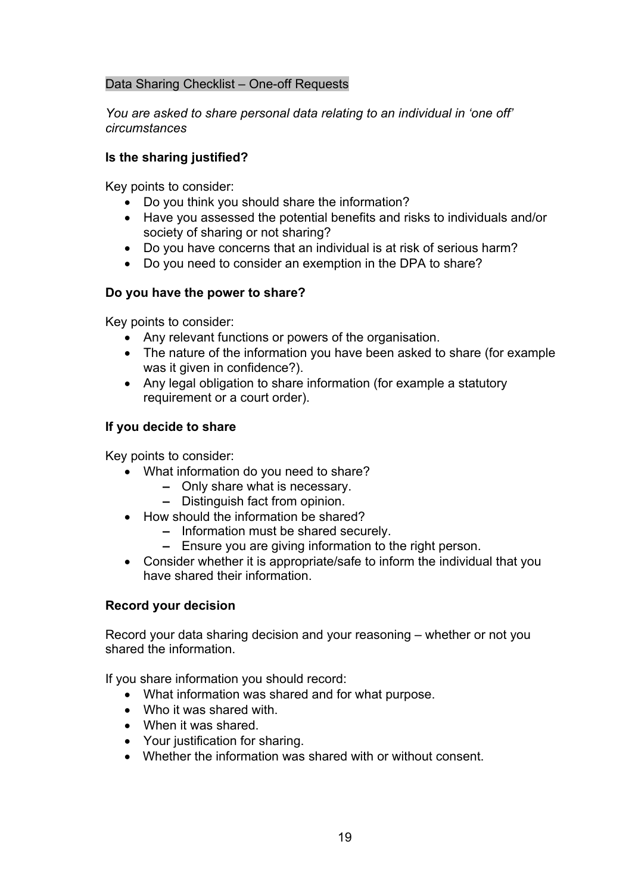#### Data Sharing Checklist – One-off Requests

*You are asked to share personal data relating to an individual in 'one off' circumstances*

#### **Is the sharing justified?**

Key points to consider:

- Do you think you should share the information?
- Have you assessed the potential benefits and risks to individuals and/or society of sharing or not sharing?
- Do you have concerns that an individual is at risk of serious harm?
- Do you need to consider an exemption in the DPA to share?

#### **Do you have the power to share?**

Key points to consider:

- Any relevant functions or powers of the organisation.
- The nature of the information you have been asked to share (for example was it given in confidence?).
- Any legal obligation to share information (for example a statutory requirement or a court order).

#### **If you decide to share**

Key points to consider:

- What information do you need to share?
	- **–** Only share what is necessary.
	- **–** Distinguish fact from opinion.
- How should the information be shared?
	- **–** Information must be shared securely.
	- **–** Ensure you are giving information to the right person.
- Consider whether it is appropriate/safe to inform the individual that you have shared their information.

#### **Record your decision**

Record your data sharing decision and your reasoning – whether or not you shared the information.

If you share information you should record:

- What information was shared and for what purpose.
- Who it was shared with.
- When it was shared.
- Your justification for sharing.
- Whether the information was shared with or without consent.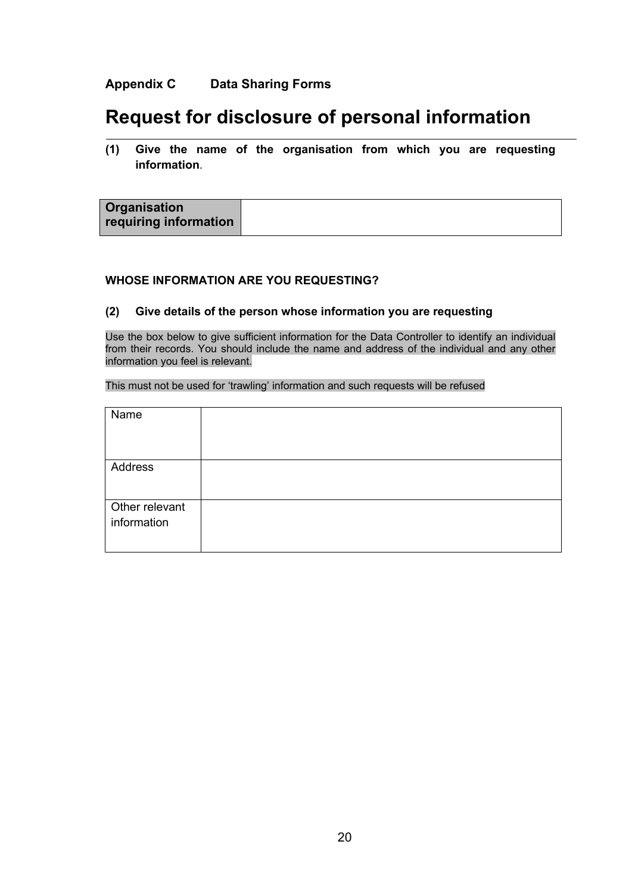#### **Appendix C Data Sharing Forms**

# **Request for disclosure of personal information**

**(1) Give the name of the organisation from which you are requesting information**.

#### **WHOSE INFORMATION ARE YOU REQUESTING?**

#### **(2) Give details of the person whose information you are requesting**

Use the box below to give sufficient information for the Data Controller to identify an individual from their records. You should include the name and address of the individual and any other information you feel is relevant.

This must not be used for 'trawling' information and such requests will be refused

| Name           |  |
|----------------|--|
|                |  |
|                |  |
| Address        |  |
|                |  |
| Other relevant |  |
| information    |  |
|                |  |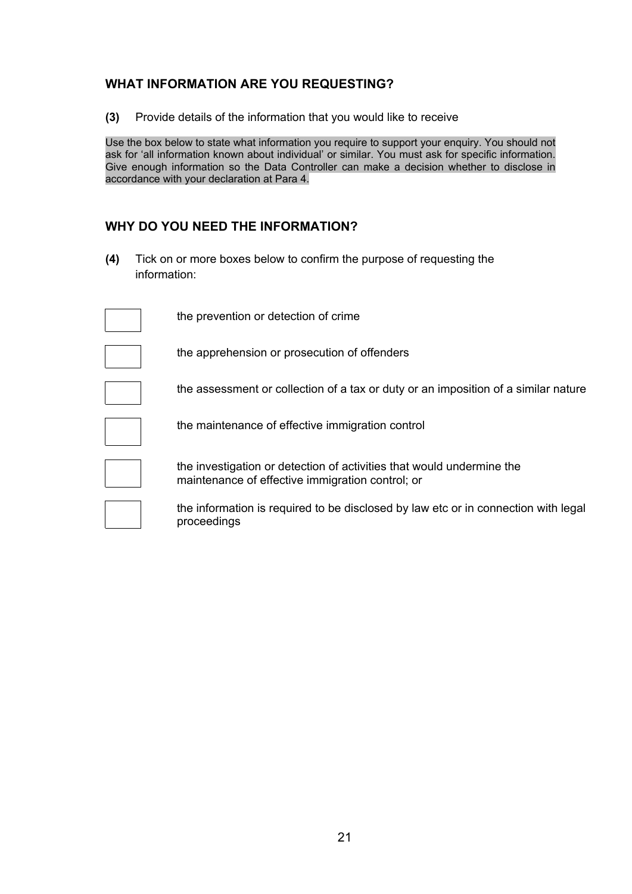#### **WHAT INFORMATION ARE YOU REQUESTING?**

**(3)** Provide details of the information that you would like to receive

Use the box below to state what information you require to support your enquiry. You should not ask for 'all information known about individual' or similar. You must ask for specific information. Give enough information so the Data Controller can make a decision whether to disclose in accordance with your declaration at Para 4.

#### **WHY DO YOU NEED THE INFORMATION?**

proceedings

 $\mathbb{R}^n$ 

**(4)** Tick on or more boxes below to confirm the purpose of requesting the information:

| the prevention or detection of crime                                                                                      |
|---------------------------------------------------------------------------------------------------------------------------|
| the apprehension or prosecution of offenders                                                                              |
| the assessment or collection of a tax or duty or an imposition of a similar nature                                        |
| the maintenance of effective immigration control                                                                          |
| the investigation or detection of activities that would undermine the<br>maintenance of effective immigration control; or |
| the information is required to be disclosed by law etc or in connection with legal                                        |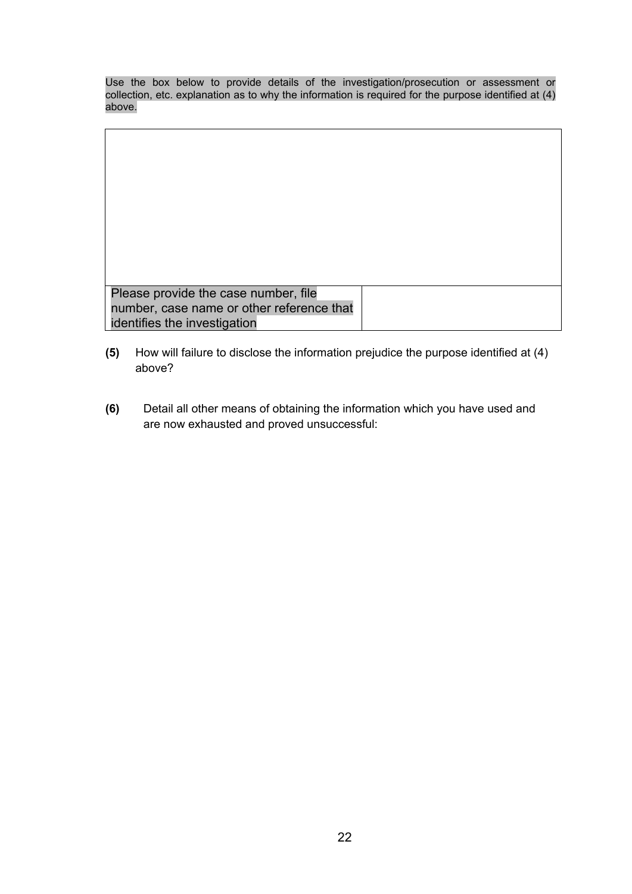Use the box below to provide details of the investigation/prosecution or assessment or collection, etc. explanation as to why the information is required for the purpose identified at (4) above.

| Please provide the case number, file      |  |
|-------------------------------------------|--|
| number, case name or other reference that |  |
| identifies the investigation              |  |

- **(5)** How will failure to disclose the information prejudice the purpose identified at (4) above?
- **(6)** Detail all other means of obtaining the information which you have used and are now exhausted and proved unsuccessful: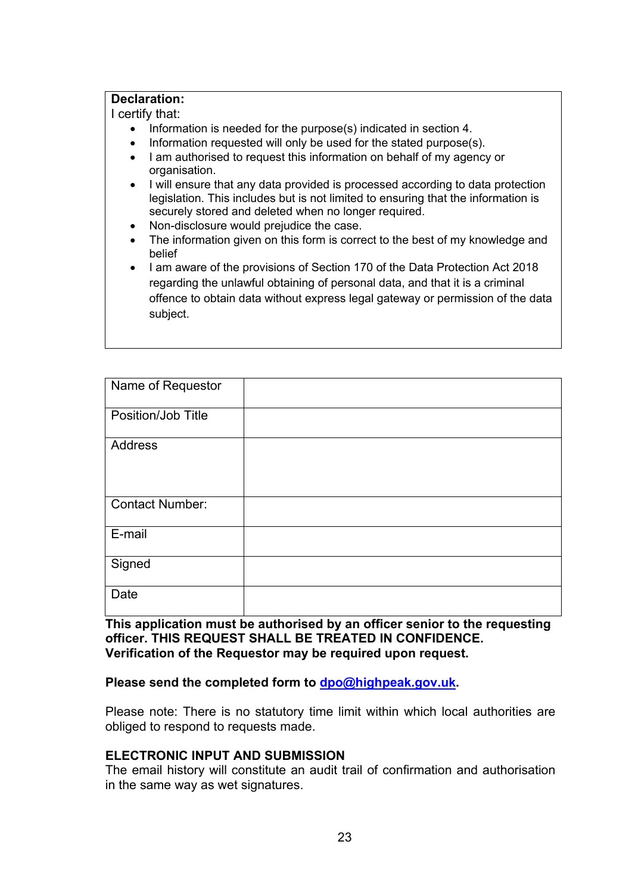#### **Declaration:**

I certify that:

- Information is needed for the purpose(s) indicated in section 4.
- Information requested will only be used for the stated purpose(s).
- I am authorised to request this information on behalf of my agency or organisation.
- I will ensure that any data provided is processed according to data protection legislation. This includes but is not limited to ensuring that the information is securely stored and deleted when no longer required.
- Non-disclosure would prejudice the case.
- The information given on this form is correct to the best of my knowledge and belief
- I am aware of the provisions of Section 170 of the Data Protection Act 2018 regarding the unlawful obtaining of personal data, and that it is a criminal offence to obtain data without express legal gateway or permission of the data subject.

| Name of Requestor      |  |
|------------------------|--|
|                        |  |
| Position/Job Title     |  |
| Address                |  |
|                        |  |
|                        |  |
|                        |  |
|                        |  |
| <b>Contact Number:</b> |  |
|                        |  |
| E-mail                 |  |
|                        |  |
| Signed                 |  |
|                        |  |
|                        |  |
| Date                   |  |
|                        |  |

**This application must be authorised by an officer senior to the requesting officer. THIS REQUEST SHALL BE TREATED IN CONFIDENCE. Verification of the Requestor may be required upon request.**

#### **Please send the completed form to [dpo@highpeak.gov.uk.](mailto:dpo@highpeak.gov.uk)**

Please note: There is no statutory time limit within which local authorities are obliged to respond to requests made.

#### **ELECTRONIC INPUT AND SUBMISSION**

The email history will constitute an audit trail of confirmation and authorisation in the same way as wet signatures.